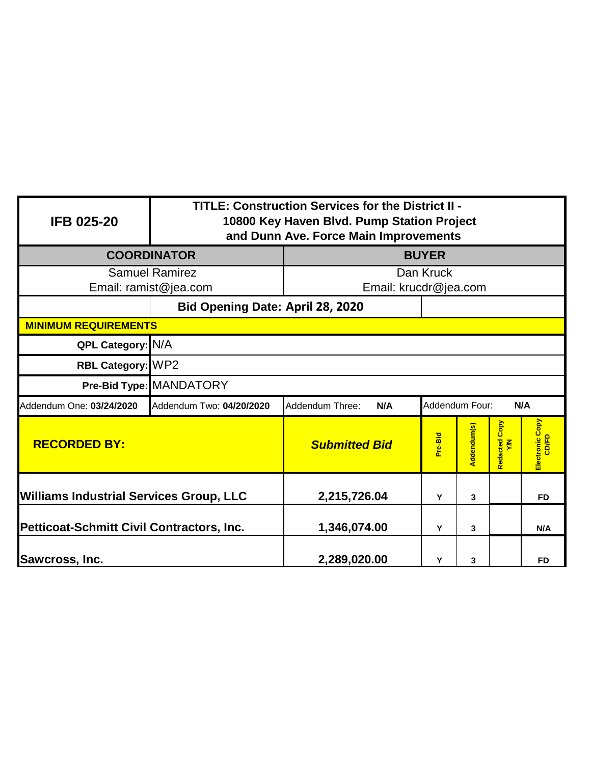| <b>IFB 025-20</b>                              | TITLE: Construction Services for the District II -<br>10800 Key Haven Blvd. Pump Station Project<br>and Dunn Ave. Force Main Improvements |                                    |         |             |                            |                          |
|------------------------------------------------|-------------------------------------------------------------------------------------------------------------------------------------------|------------------------------------|---------|-------------|----------------------------|--------------------------|
| <b>COORDINATOR</b>                             | <b>BUYER</b>                                                                                                                              |                                    |         |             |                            |                          |
| <b>Samuel Ramirez</b><br>Email: ramist@jea.com |                                                                                                                                           | Dan Kruck<br>Email: krucdr@jea.com |         |             |                            |                          |
|                                                |                                                                                                                                           | Bid Opening Date: April 28, 2020   |         |             |                            |                          |
| <b>MINIMUM REQUIREMENTS</b>                    |                                                                                                                                           |                                    |         |             |                            |                          |
| QPL Category: N/A                              |                                                                                                                                           |                                    |         |             |                            |                          |
| RBL Category: WP2                              |                                                                                                                                           |                                    |         |             |                            |                          |
|                                                | Pre-Bid Type: MANDATORY                                                                                                                   |                                    |         |             |                            |                          |
| Addendum One: 03/24/2020                       | Addendum Four:<br>N/A<br>Addendum Two: 04/20/2020<br>Addendum Three:<br>N/A                                                               |                                    |         |             |                            |                          |
| <b>RECORDED BY:</b>                            |                                                                                                                                           | <b>Submitted Bid</b>               | Pre-Bid | Addendum(s) | Copy<br>Redacted<br>$\leq$ | Electronic Copy<br>CD/FD |
| Williams Industrial Services Group, LLC        |                                                                                                                                           | 2,215,726.04                       | Y       | 3           |                            | <b>FD</b>                |
| Petticoat-Schmitt Civil Contractors, Inc.      |                                                                                                                                           | 1,346,074.00                       | Y       | 3           |                            | N/A                      |
| <b>Sawcross, Inc.</b>                          |                                                                                                                                           | 2,289,020.00                       | Y       | 3           |                            | <b>FD</b>                |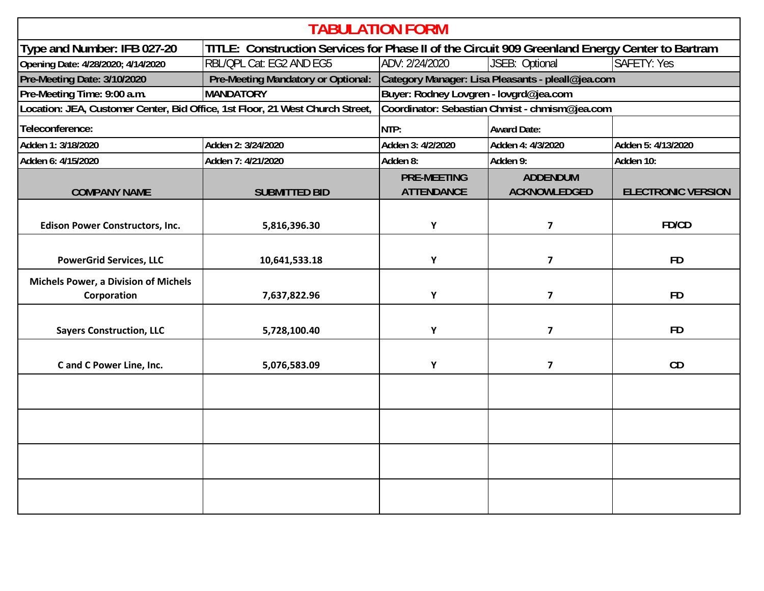| <b>TABULATION FORM</b>                                                                                                         |                                                |                                                        |                                        |                           |  |
|--------------------------------------------------------------------------------------------------------------------------------|------------------------------------------------|--------------------------------------------------------|----------------------------------------|---------------------------|--|
| TITLE: Construction Services for Phase II of the Circuit 909 Greenland Energy Center to Bartram<br>Type and Number: IFB 027-20 |                                                |                                                        |                                        |                           |  |
| Opening Date: 4/28/2020; 4/14/2020                                                                                             | RBL/QPL Cat: EG2 AND EG5                       | <b>SAFETY: Yes</b><br>ADV: 2/24/2020<br>JSEB: Optional |                                        |                           |  |
| Pre-Meeting Date: 3/10/2020                                                                                                    | Pre-Meeting Mandatory or Optional:             | Category Manager: Lisa Pleasants - pleall@jea.com      |                                        |                           |  |
| Pre-Meeting Time: 9:00 a.m.                                                                                                    | <b>MANDATORY</b>                               | Buyer: Rodney Lovgren - lovgrd@jea.com                 |                                        |                           |  |
| Location: JEA, Customer Center, Bid Office, 1st Floor, 21 West Church Street,                                                  | Coordinator: Sebastian Chmist - chmism@jea.com |                                                        |                                        |                           |  |
| Teleconference:                                                                                                                |                                                | NTP:                                                   | <b>Award Date:</b>                     |                           |  |
| Adden 1: 3/18/2020                                                                                                             | Adden 2: 3/24/2020                             | Adden 3: 4/2/2020                                      | Adden 4: 4/3/2020                      | Adden 5: 4/13/2020        |  |
| Adden 6: 4/15/2020                                                                                                             | Adden 7: 4/21/2020                             | Adden 8:                                               | Adden 9:<br>Adden 10:                  |                           |  |
| <b>COMPANY NAME</b>                                                                                                            | <b>SUBMITTED BID</b>                           | <b>PRE-MEETING</b><br><b>ATTENDANCE</b>                | <b>ADDENDUM</b><br><b>ACKNOWLEDGED</b> | <b>ELECTRONIC VERSION</b> |  |
| <b>Edison Power Constructors, Inc.</b>                                                                                         | 5,816,396.30                                   | Y                                                      | $\overline{\mathbf{z}}$                | FD/CD                     |  |
| <b>PowerGrid Services, LLC</b>                                                                                                 | 10,641,533.18                                  | Y                                                      | 7                                      | <b>FD</b>                 |  |
| <b>Michels Power, a Division of Michels</b><br>Corporation                                                                     | 7,637,822.96                                   | Y                                                      | 7                                      | <b>FD</b>                 |  |
| <b>Sayers Construction, LLC</b>                                                                                                | 5,728,100.40                                   | Y                                                      | $\overline{\mathbf{z}}$                | <b>FD</b>                 |  |
| C and C Power Line, Inc.                                                                                                       | 5,076,583.09                                   | Y                                                      | $\overline{\mathbf{z}}$                | CD                        |  |
|                                                                                                                                |                                                |                                                        |                                        |                           |  |
|                                                                                                                                |                                                |                                                        |                                        |                           |  |
|                                                                                                                                |                                                |                                                        |                                        |                           |  |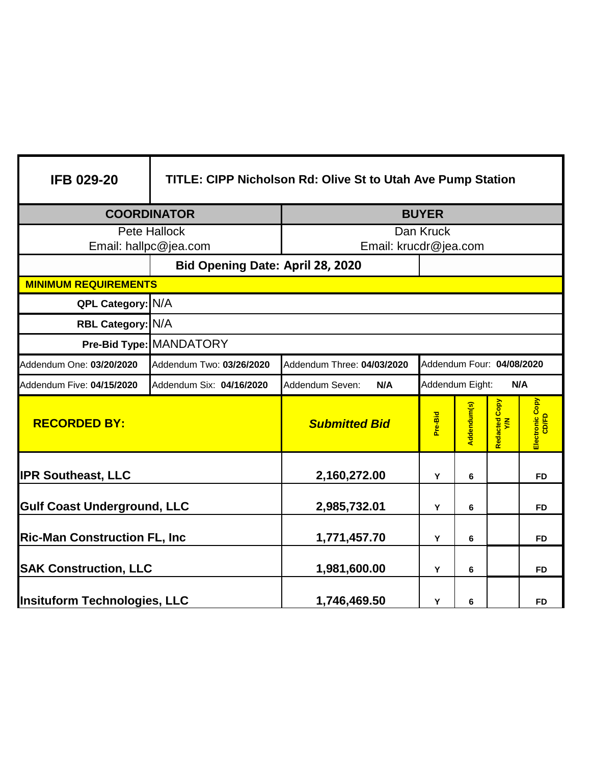| <b>IFB 029-20</b>                   | <b>TITLE: CIPP Nicholson Rd: Olive St to Utah Ave Pump Station</b> |                                                         |         |             |                                  |                          |
|-------------------------------------|--------------------------------------------------------------------|---------------------------------------------------------|---------|-------------|----------------------------------|--------------------------|
| <b>COORDINATOR</b>                  |                                                                    | <b>BUYER</b>                                            |         |             |                                  |                          |
| Pete Hallock                        |                                                                    | Dan Kruck                                               |         |             |                                  |                          |
| Email: hallpc@jea.com               |                                                                    | Email: krucdr@jea.com                                   |         |             |                                  |                          |
|                                     | Bid Opening Date: April 28, 2020                                   |                                                         |         |             |                                  |                          |
| <b>MINIMUM REQUIREMENTS</b>         |                                                                    |                                                         |         |             |                                  |                          |
| QPL Category: N/A                   |                                                                    |                                                         |         |             |                                  |                          |
| RBL Category: N/A                   |                                                                    |                                                         |         |             |                                  |                          |
|                                     | Pre-Bid Type: MANDATORY                                            |                                                         |         |             |                                  |                          |
| Addendum One: 03/20/2020            | Addendum Two: 03/26/2020                                           | Addendum Four: 04/08/2020<br>Addendum Three: 04/03/2020 |         |             |                                  |                          |
| Addendum Five: 04/15/2020           | Addendum Six: 04/16/2020                                           | Addendum Eight:<br>N/A<br>Addendum Seven:<br>N/A        |         |             |                                  |                          |
| <b>RECORDED BY:</b>                 |                                                                    | <b>Submitted Bid</b>                                    | Pre-Bid | Addendum(s) | Copy<br>Redacted <b>C</b><br>Y/N | Electronic Copy<br>CD/FD |
| <b>IPR Southeast, LLC</b>           |                                                                    | 2,160,272.00                                            | Y       | 6           |                                  | <b>FD</b>                |
| <b>Gulf Coast Underground, LLC</b>  |                                                                    | 2,985,732.01                                            | Υ       | 6           |                                  | <b>FD</b>                |
| <b>Ric-Man Construction FL, Inc</b> |                                                                    | 1,771,457.70                                            | Y       | 6           |                                  | <b>FD</b>                |
| <b>SAK Construction, LLC</b>        |                                                                    | 1,981,600.00                                            | Y       | 6           |                                  | <b>FD</b>                |
| Insituform Technologies, LLC        |                                                                    | 1,746,469.50                                            | Y       | 6           |                                  | <b>FD</b>                |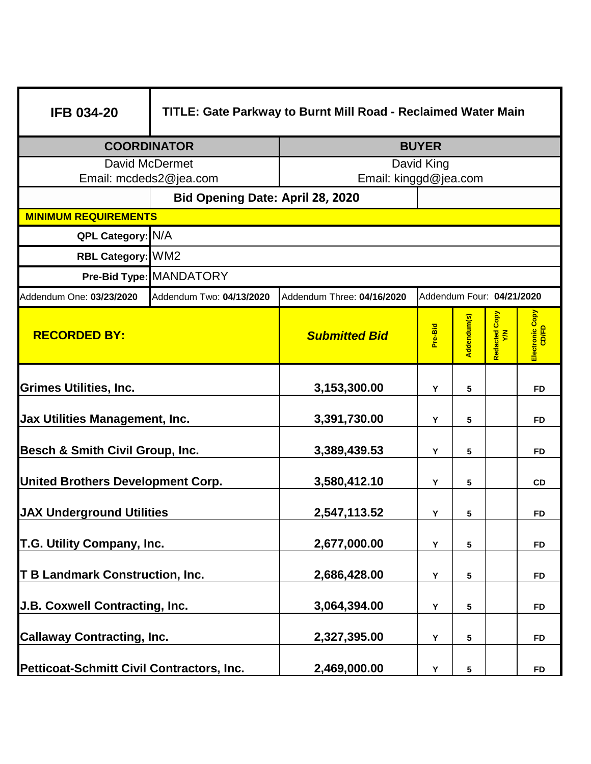| <b>IFB 034-20</b>                               | TITLE: Gate Parkway to Burnt Mill Road - Reclaimed Water Main |                                                         |         |             |                         |                          |
|-------------------------------------------------|---------------------------------------------------------------|---------------------------------------------------------|---------|-------------|-------------------------|--------------------------|
| <b>COORDINATOR</b>                              | <b>BUYER</b>                                                  |                                                         |         |             |                         |                          |
| <b>David McDermet</b><br>Email: mcdeds2@jea.com |                                                               | David King<br>Email: kinggd@jea.com                     |         |             |                         |                          |
|                                                 | Bid Opening Date: April 28, 2020                              |                                                         |         |             |                         |                          |
| <b>MINIMUM REQUIREMENTS</b>                     |                                                               |                                                         |         |             |                         |                          |
| QPL Category: N/A                               |                                                               |                                                         |         |             |                         |                          |
| RBL Category: WM2                               |                                                               |                                                         |         |             |                         |                          |
|                                                 | Pre-Bid Type: MANDATORY                                       |                                                         |         |             |                         |                          |
| Addendum One: 03/23/2020                        | Addendum Two: 04/13/2020                                      | Addendum Three: 04/16/2020<br>Addendum Four: 04/21/2020 |         |             |                         |                          |
| <b>RECORDED BY:</b>                             |                                                               | <b>Submitted Bid</b>                                    | Pre-Bid | Addendum(s) | Copy<br>Redacted<br>Y/N | Electronic Copy<br>CD/FD |
| <b>Grimes Utilities, Inc.</b>                   |                                                               | 3,153,300.00                                            | Υ       | 5           |                         | <b>FD</b>                |
| <b>Jax Utilities Management, Inc.</b>           |                                                               | 3,391,730.00                                            | Y       | 5           |                         | <b>FD</b>                |
| Besch & Smith Civil Group, Inc.                 |                                                               | 3,389,439.53                                            | Y       | 5           |                         | <b>FD</b>                |
| <b>United Brothers Development Corp.</b>        |                                                               | 3,580,412.10                                            | Υ       | 5           |                         | <b>CD</b>                |
| <b>JAX Underground Utilities</b>                |                                                               | 2,547,113.52                                            | Υ       | 5           |                         | <b>FD</b>                |
| T.G. Utility Company, Inc.                      |                                                               | 2,677,000.00                                            | Υ       | 5           |                         | <b>FD</b>                |
| <b>T B Landmark Construction, Inc.</b>          |                                                               | 2,686,428.00                                            | Y       | 5           |                         | <b>FD</b>                |
| J.B. Coxwell Contracting, Inc.                  |                                                               | 3,064,394.00                                            | Υ       | 5           |                         | <b>FD</b>                |
| <b>Callaway Contracting, Inc.</b>               |                                                               | 2,327,395.00                                            | Y       | 5           |                         | FD                       |
| Petticoat-Schmitt Civil Contractors, Inc.       |                                                               | 2,469,000.00                                            | Y       | 5           |                         | <b>FD</b>                |